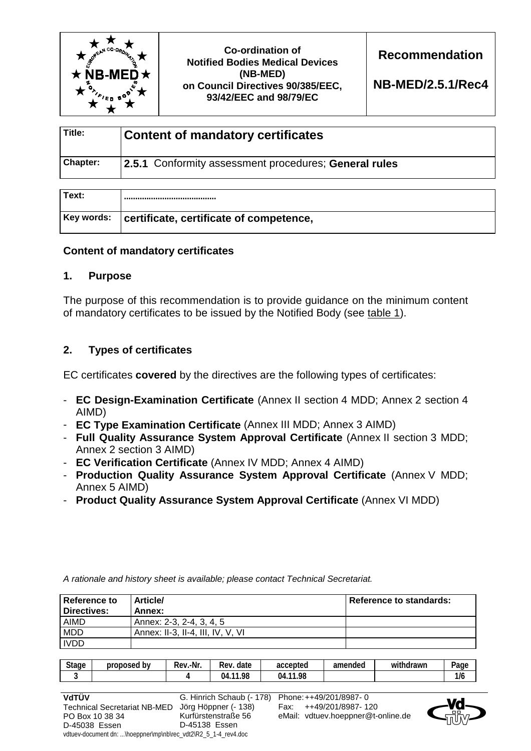

**Co-ordination of Notified Bodies Medical Devices (NB-MED) on Council Directives 90/385/EEC, 93/42/EEC and 98/79/EC** 

**Recommendation** 

**NB-MED/2.5.1/Rec4** 

| Title:          | <b>Content of mandatory certificates</b>              |  |
|-----------------|-------------------------------------------------------|--|
| <b>Chapter:</b> | 2.5.1 Conformity assessment procedures; General rules |  |

| Text:      |                                         |  |
|------------|-----------------------------------------|--|
| Key words: | certificate, certificate of competence, |  |

# **Content of mandatory certificates**

## **1. Purpose**

The purpose of this recommendation is to provide guidance on the minimum content of mandatory certificates to be issued by the Notified Body (see table 1).

## **2. Types of certificates**

EC certificates **covered** by the directives are the following types of certificates:

- **EC Design-Examination Certificate** (Annex II section 4 MDD; Annex 2 section 4 AIMD)
- **EC Type Examination Certificate** (Annex III MDD; Annex 3 AIMD)
- **Full Quality Assurance System Approval Certificate** (Annex II section 3 MDD; Annex 2 section 3 AIMD)
- **EC Verification Certificate** (Annex IV MDD; Annex 4 AIMD)

*A rationale and history sheet is available; please contact Technical Secretariat.* 

- **Production Quality Assurance System Approval Certificate** (Annex V MDD; Annex 5 AIMD)
- **Product Quality Assurance System Approval Certificate** (Annex VI MDD)

| <b>Reference to</b><br>Directives: | <b>Article/</b><br>Annex:         | Reference to standards: |
|------------------------------------|-----------------------------------|-------------------------|
| AIMD                               | Annex: 2-3, 2-4, 3, 4, 5          |                         |
| <b>MDD</b>                         | Annex: II-3, II-4, III, IV, V, VI |                         |
| <b>IVDD</b>                        |                                   |                         |

| <b>Stage</b> | ' bv<br>proposed | Rev.-Nr. | Rev.<br>date       | accepted           | amended | <br>withdrawn | Page     |
|--------------|------------------|----------|--------------------|--------------------|---------|---------------|----------|
|              |                  |          | .98<br>$-11$<br>04 | .98<br>$-11$<br>04 |         |               | .<br>1/6 |



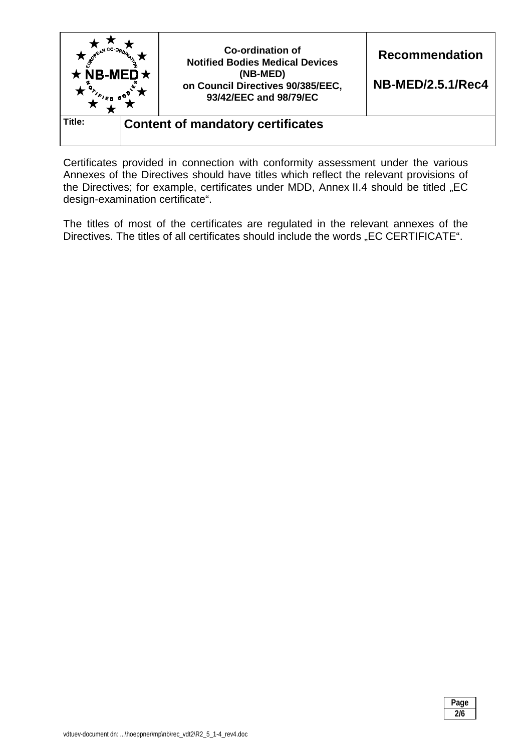

Certificates provided in connection with conformity assessment under the various Annexes of the Directives should have titles which reflect the relevant provisions of the Directives; for example, certificates under MDD, Annex II.4 should be titled "EC design-examination certificate".

The titles of most of the certificates are regulated in the relevant annexes of the Directives. The titles of all certificates should include the words "EC CERTIFICATE".

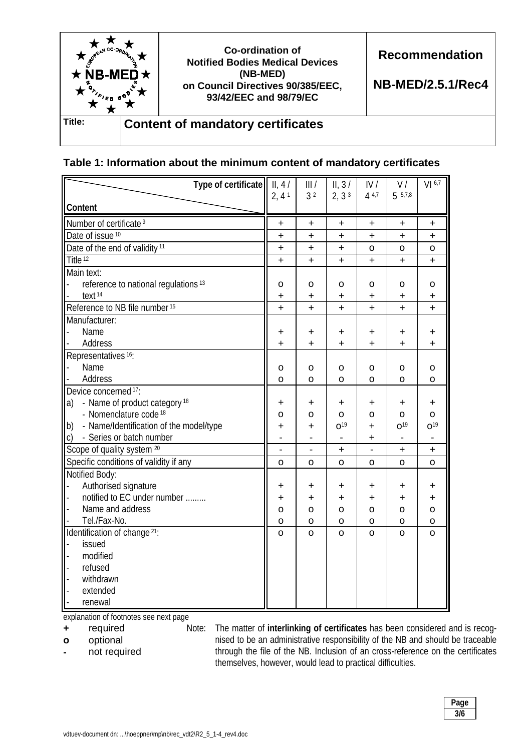

## **Table 1: Information about the minimum content of mandatory certificates**

| Type of certificate                             | II, 4/       | III/           | II, 3/            | IV/       | V/              | VI 6.7          |
|-------------------------------------------------|--------------|----------------|-------------------|-----------|-----------------|-----------------|
|                                                 | 2, 41        | 3 <sup>2</sup> | 2, 3 <sup>3</sup> | 4 4,7     | 5.5,7.8         |                 |
| <b>Content</b>                                  |              |                |                   |           |                 |                 |
| Number of certificate <sup>9</sup>              | $\ddag$      | +              | $\ddot{}$         | +         | +               | $\ddot{}$       |
| Date of issue <sup>10</sup>                     | +            | $\ddot{}$      | Ŧ                 | $\ddot{}$ | $\ddot{}$       | $\ddot{}$       |
| Date of the end of validity <sup>11</sup>       | +            | +              | $\ddot{}$         | o         | o               | o               |
| Title <sup>12</sup>                             | $\ddot{}$    | $\ddot{}$      | Ŧ                 | $\ddot{}$ | $\ddot{}$       | $\ddot{}$       |
| Main text:                                      |              |                |                   |           |                 |                 |
| reference to national regulations <sup>13</sup> | o            | o              | 0                 | o         | o               | o               |
| text <sup>14</sup>                              | +            | ÷.             | $\ddot{}$         | $\ddot{}$ | $\ddot{}$       | $\ddot{}$       |
| Reference to NB file number 15                  | $\ddot{}$    | +              | Ŧ                 | $\ddot{}$ | $\ddot{}$       | $\ddot{}$       |
| Manufacturer:                                   |              |                |                   |           |                 |                 |
| Name                                            | +            | +              | ÷                 | $\ddot{}$ | +               | +               |
| Address                                         | ÷            | ÷.             | $\ddot{}$         | ÷         | $\ddot{}$       | $\ddot{}$       |
| Representatives <sup>16</sup> :                 |              |                |                   |           |                 |                 |
| Name                                            | о            | o              | o                 | o         | o               | о               |
| Address                                         | O            | o              | о                 | O         | O               | O               |
| Device concerned 17:                            |              |                |                   |           |                 |                 |
| - Name of product category <sup>18</sup><br>a)  | +            | +              | $\ddot{}$         | $\ddot{}$ | +               | +               |
| - Nomenclature code <sup>18</sup>               | 0            | o              | о                 | o         | o               | o               |
| - Name/Identification of the model/type<br>b)   | +            | +              | O <sup>19</sup>   | $\ddot{}$ | O <sup>19</sup> | 0 <sup>19</sup> |
| - Series or batch number<br>C)                  |              |                |                   | $\ddot{}$ |                 |                 |
| Scope of quality system 20                      |              |                | +                 |           | +               | +               |
| Specific conditions of validity if any          | o            | o              | o                 | o         | O               | O               |
| Notified Body:                                  |              |                |                   |           |                 |                 |
| Authorised signature                            | +            | $\ddot{}$      | ÷                 | $\ddot{}$ | +               | ÷               |
| notified to EC under number                     | $\ddot{}$    | $\ddot{}$      | +                 | ÷         | +               | ÷               |
| Name and address                                | o            | o              | o                 | o         | o               | o               |
| Tel./Fax-No.                                    | o            | o              | o                 | o         | o               | o               |
| Identification of change 21:                    | $\mathsf{o}$ | O              | O                 | $\Omega$  | $\Omega$        | $\Omega$        |
| issued                                          |              |                |                   |           |                 |                 |
| modified                                        |              |                |                   |           |                 |                 |
| refused                                         |              |                |                   |           |                 |                 |
| withdrawn                                       |              |                |                   |           |                 |                 |
| extended                                        |              |                |                   |           |                 |                 |
| renewal                                         |              |                |                   |           |                 |                 |

explanation of footnotes see next page

**+** required

**o** optional

**-** not required

Note: The matter of **interlinking of certificates** has been considered and is recognised to be an administrative responsibility of the NB and should be traceable through the file of the NB. Inclusion of an cross-reference on the certificates themselves, however, would lead to practical difficulties.

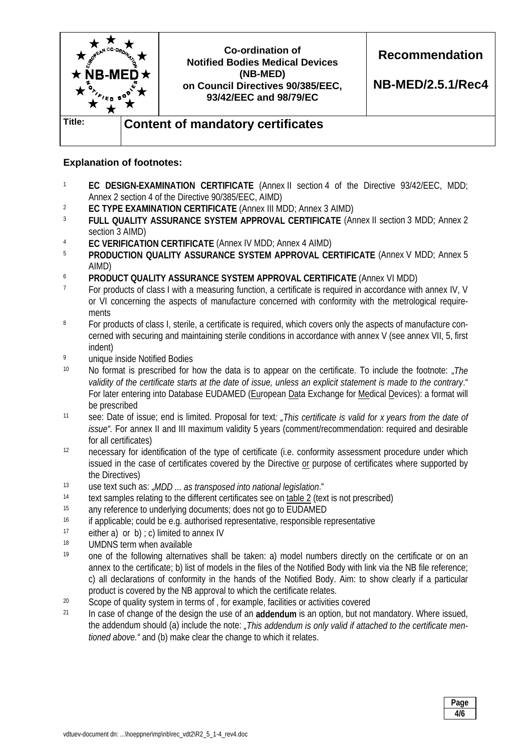

## **Explanation of footnotes:**

- <sup>1</sup> **EC DESIGN-EXAMINATION CERTIFICATE** (Annex II section 4 of the Directive 93/42/EEC, MDD; Annex 2 section 4 of the Directive 90/385/EEC, AIMD)
- <sup>2</sup> **EC TYPE EXAMINATION CERTIFICATE** (Annex III MDD; Annex 3 AIMD)<br><sup>3</sup> ELILL OLIALITY ASSUPANCE SYSTEM ADDROVAL CERTIFICATE (An
- FULL QUALITY ASSURANCE SYSTEM APPROVAL CERTIFICATE (Annex II section 3 MDD; Annex 2 section 3 AIMD)
- <sup>4</sup> **EC VERIFICATION CERTIFICATE** (Annex IV MDD; Annex 4 AIMD)
- <sup>5</sup> **PRODUCTION QUALITY ASSURANCE SYSTEM APPROVAL CERTIFICATE** (Annex V MDD; Annex 5 AIMD)
- <sup>6</sup> **PRODUCT QUALITY ASSURANCE SYSTEM APPROVAL CERTIFICATE** (Annex VI MDD)
- <sup>7</sup> For products of class I with a measuring function, a certificate is required in accordance with annex IV, V or VI concerning the aspects of manufacture concerned with conformity with the metrological requirements
- <sup>8</sup> For products of class I, sterile, a certificate is required, which covers only the aspects of manufacture concerned with securing and maintaining sterile conditions in accordance with annex V (see annex VII, 5, first indent)
- 9 unique inside Notified Bodies
- <sup>10</sup> No format is prescribed for how the data is to appear on the certificate. To include the footnote: *The validity of the certificate starts at the date of issue, unless an explicit statement is made to the contrary*." For later entering into Database EUDAMED (European Data Exchange for Medical Devices): a format will be prescribed
- 11 see: Date of issue; end is limited. Proposal for text*: "This certificate is valid for x years from the date of issue".* For annex II and III maximum validity 5 years (comment/recommendation: required and desirable for all certificates)
- 12 necessary for identification of the type of certificate (i.e. conformity assessment procedure under which issued in the case of certificates covered by the Directive or purpose of certificates where supported by the Directives)
- 13 use text such as: "*MDD ... as transposed into national legislation*."
- <sup>14</sup> text samples relating to the different certificates see on table 2 (text is not prescribed)
- <sup>15</sup> any reference to underlying documents; does not go to EUDAMED
- <sup>16</sup> if applicable; could be e.g. authorised representative, responsible representative
- <sup>17</sup> either a) or b)  $: c$ ) limited to annex IV
- 18 UMDNS term when available
- 19 one of the following alternatives shall be taken: a) model numbers directly on the certificate or on an annex to the certificate; b) list of models in the files of the Notified Body with link via the NB file reference; c) all declarations of conformity in the hands of the Notified Body. Aim: to show clearly if a particular product is covered by the NB approval to which the certificate relates.
- <sup>20</sup> Scope of quality system in terms of , for example, facilities or activities covered
- 21 In case of change of the design the use of an **addendum** is an option, but not mandatory. Where issued, the addendum should (a) include the note: *"This addendum is only valid if attached to the certificate mentioned above."* and (b) make clear the change to which it relates.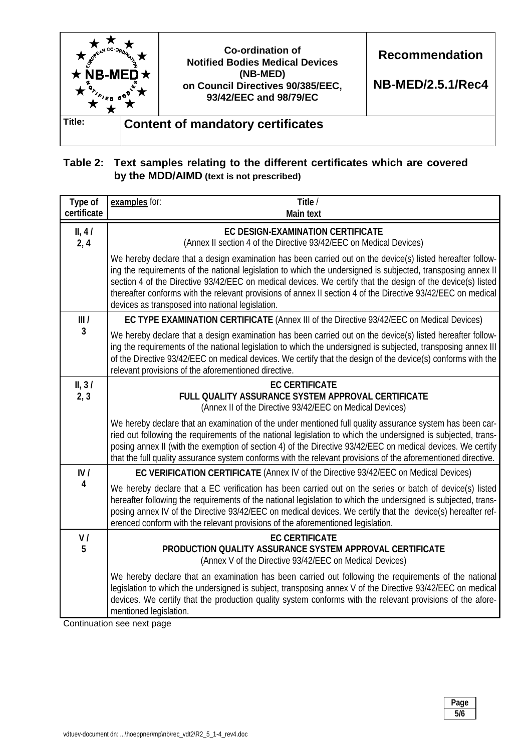

# **Table 2: Text samples relating to the different certificates which are covered by the MDD/AIMD (text is not prescribed)**

| Type of<br>certificate | examples for:<br>Title /<br><b>Main text</b>                                                                                                                                                                                                                                                                                                                                                                                                                                                                  |
|------------------------|---------------------------------------------------------------------------------------------------------------------------------------------------------------------------------------------------------------------------------------------------------------------------------------------------------------------------------------------------------------------------------------------------------------------------------------------------------------------------------------------------------------|
| II, 41<br>2, 4         | <b>EC DESIGN-EXAMINATION CERTIFICATE</b><br>(Annex II section 4 of the Directive 93/42/EEC on Medical Devices)                                                                                                                                                                                                                                                                                                                                                                                                |
|                        | We hereby declare that a design examination has been carried out on the device(s) listed hereafter follow-<br>ing the requirements of the national legislation to which the undersigned is subjected, transposing annex II<br>section 4 of the Directive 93/42/EEC on medical devices. We certify that the design of the device(s) listed<br>thereafter conforms with the relevant provisions of annex II section 4 of the Directive 93/42/EEC on medical<br>devices as transposed into national legislation. |
| III/                   | EC TYPE EXAMINATION CERTIFICATE (Annex III of the Directive 93/42/EEC on Medical Devices)                                                                                                                                                                                                                                                                                                                                                                                                                     |
| 3                      | We hereby declare that a design examination has been carried out on the device(s) listed hereafter follow-<br>ing the requirements of the national legislation to which the undersigned is subjected, transposing annex III<br>of the Directive 93/42/EEC on medical devices. We certify that the design of the device(s) conforms with the<br>relevant provisions of the aforementioned directive.                                                                                                           |
| II, 31                 | <b>EC CERTIFICATE</b>                                                                                                                                                                                                                                                                                                                                                                                                                                                                                         |
| 2, 3                   | FULL QUALITY ASSURANCE SYSTEM APPROVAL CERTIFICATE<br>(Annex II of the Directive 93/42/EEC on Medical Devices)                                                                                                                                                                                                                                                                                                                                                                                                |
|                        | We hereby declare that an examination of the under mentioned full quality assurance system has been car-<br>ried out following the requirements of the national legislation to which the undersigned is subjected, trans-<br>posing annex II (with the exemption of section 4) of the Directive 93/42/EEC on medical devices. We certify<br>that the full quality assurance system conforms with the relevant provisions of the aforementioned directive.                                                     |
| IV/                    | EC VERIFICATION CERTIFICATE (Annex IV of the Directive 93/42/EEC on Medical Devices)                                                                                                                                                                                                                                                                                                                                                                                                                          |
| 4                      | We hereby declare that a EC verification has been carried out on the series or batch of device(s) listed<br>hereafter following the requirements of the national legislation to which the undersigned is subjected, trans-<br>posing annex IV of the Directive 93/42/EEC on medical devices. We certify that the device(s) hereafter ref-<br>erenced conform with the relevant provisions of the aforementioned legislation.                                                                                  |
| V/                     | <b>EC CERTIFICATE</b>                                                                                                                                                                                                                                                                                                                                                                                                                                                                                         |
| 5                      | PRODUCTION QUALITY ASSURANCE SYSTEM APPROVAL CERTIFICATE<br>(Annex V of the Directive 93/42/EEC on Medical Devices)                                                                                                                                                                                                                                                                                                                                                                                           |
|                        | We hereby declare that an examination has been carried out following the requirements of the national<br>legislation to which the undersigned is subject, transposing annex V of the Directive 93/42/EEC on medical<br>devices. We certify that the production quality system conforms with the relevant provisions of the afore-<br>mentioned legislation.<br>$\cap$ antinuation ana navt naga                                                                                                               |

Continuation see next page

| Page<br>. .<br>-- |
|-------------------|
| 5/6               |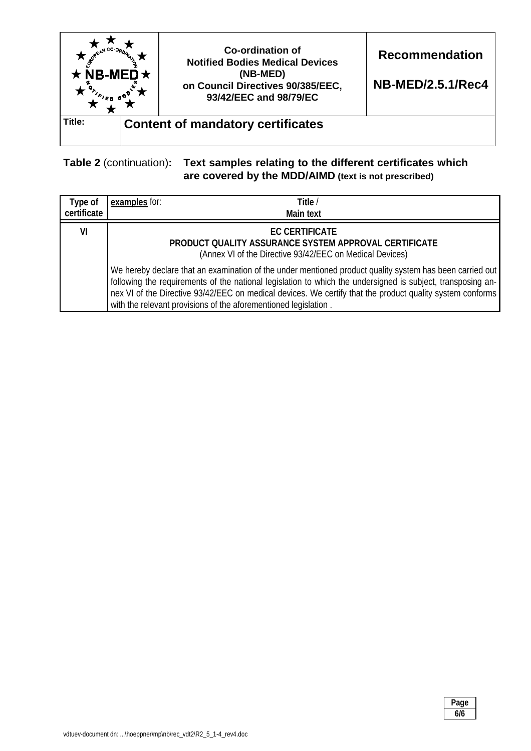

# **Table 2** (continuation)**: Text samples relating to the different certificates which are covered by the MDD/AIMD (text is not prescribed)**

| Type of<br>certificate | examples for: | Title /<br><b>Main text</b>                                                                                                                                                                                                                                                                                                                                                                             |
|------------------------|---------------|---------------------------------------------------------------------------------------------------------------------------------------------------------------------------------------------------------------------------------------------------------------------------------------------------------------------------------------------------------------------------------------------------------|
| VI                     |               | <b>EC CERTIFICATE</b><br>PRODUCT QUALITY ASSURANCE SYSTEM APPROVAL CERTIFICATE<br>(Annex VI of the Directive 93/42/EEC on Medical Devices)                                                                                                                                                                                                                                                              |
|                        |               | We hereby declare that an examination of the under mentioned product quality system has been carried out<br>following the requirements of the national legislation to which the undersigned is subject, transposing an-<br>nex VI of the Directive 93/42/EEC on medical devices. We certify that the product quality system conforms<br>with the relevant provisions of the aforementioned legislation. |

| Page<br>. . |
|-------------|
| .<br>6/6    |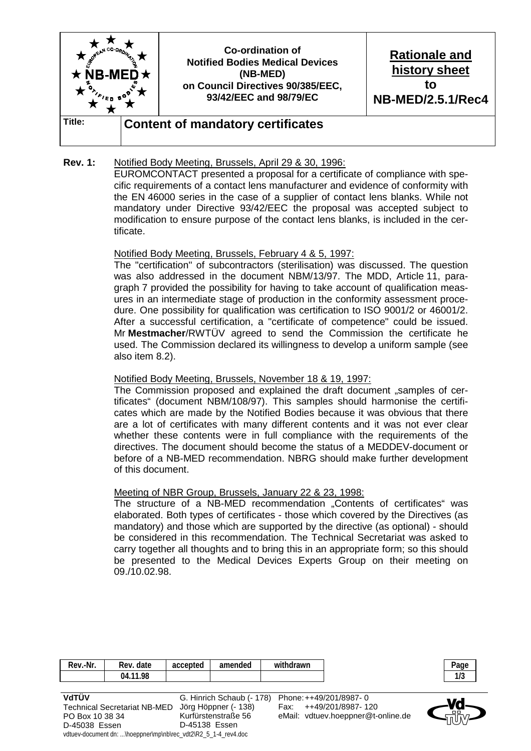

#### **Rev. 1:** Notified Body Meeting, Brussels, April 29 & 30, 1996:

 EUROMCONTACT presented a proposal for a certificate of compliance with specific requirements of a contact lens manufacturer and evidence of conformity with the EN 46000 series in the case of a supplier of contact lens blanks. While not mandatory under Directive 93/42/EEC the proposal was accepted subject to modification to ensure purpose of the contact lens blanks, is included in the certificate.

#### Notified Body Meeting, Brussels, February 4 & 5, 1997:

 The "certification" of subcontractors (sterilisation) was discussed. The question was also addressed in the document NBM/13/97. The MDD, Article 11, paragraph 7 provided the possibility for having to take account of qualification measures in an intermediate stage of production in the conformity assessment procedure. One possibility for qualification was certification to ISO 9001/2 or 46001/2. After a successful certification, a "certificate of competence" could be issued. Mr **Mestmacher**/RWTÜV agreed to send the Commission the certificate he used. The Commission declared its willingness to develop a uniform sample (see also item 8.2).

#### Notified Body Meeting, Brussels, November 18 & 19, 1997:

The Commission proposed and explained the draft document "samples of certificates" (document NBM/108/97). This samples should harmonise the certificates which are made by the Notified Bodies because it was obvious that there are a lot of certificates with many different contents and it was not ever clear whether these contents were in full compliance with the requirements of the directives. The document should become the status of a MEDDEV-document or before of a NB-MED recommendation. NBRG should make further development of this document.

#### Meeting of NBR Group, Brussels, January 22 & 23, 1998:

The structure of a NB-MED recommendation "Contents of certificates" was elaborated. Both types of certificates - those which covered by the Directives (as mandatory) and those which are supported by the directive (as optional) - should be considered in this recommendation. The Technical Secretariat was asked to carry together all thoughts and to bring this in an appropriate form; so this should be presented to the Medical Devices Experts Group on their meeting on 09./10.02.98.

| Rev.-Nr.                                                       | Rev. date                           | accepted      | amended                   | withdrawn |                                    | Page |
|----------------------------------------------------------------|-------------------------------------|---------------|---------------------------|-----------|------------------------------------|------|
|                                                                | 04.11.98                            |               |                           |           |                                    | 1/3  |
|                                                                |                                     |               |                           |           |                                    |      |
| VdTÜV                                                          |                                     |               | G. Hinrich Schaub (- 178) |           | Phone: ++49/201/8987-0             |      |
|                                                                | <b>Technical Secretariat NB-MED</b> |               | Jörg Höppner (- 138)      | Fax:      | ++49/201/8987-120                  | оõ   |
| PO Box 10 38 34                                                |                                     |               | Kurfürstenstraße 56       |           | eMail: vdtuev.hoeppner@t-online.de |      |
| D-45038 Essen                                                  |                                     | D-45138 Essen |                           |           |                                    |      |
| vdtuev-document dn: \hoeppner\mp\nb\rec_vdt2\R2_5_1-4_rev4.doc |                                     |               |                           |           |                                    |      |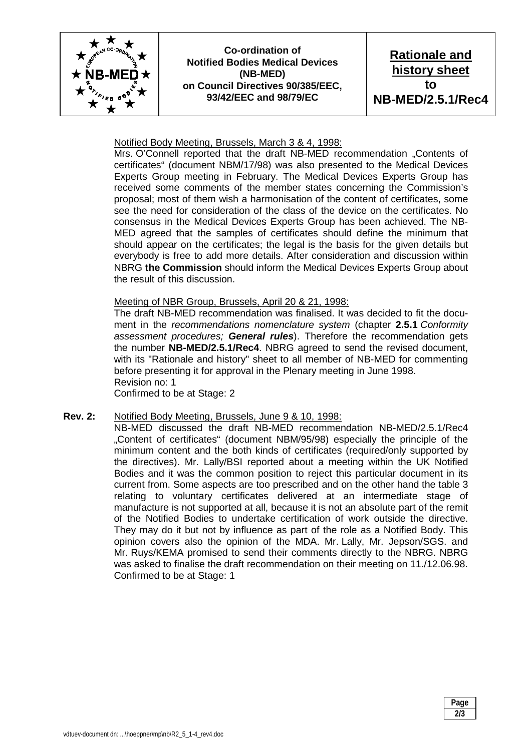

**Co-ordination of Notified Bodies Medical Devices (NB-MED) on Council Directives 90/385/EEC, 93/42/EEC and 98/79/EC** 

**Rationale and history sheet to NB-MED/2.5.1/Rec4** 

#### Notified Body Meeting, Brussels, March 3 & 4, 1998:

 Mrs. O'Connell reported that the draft NB-MED recommendation "Contents of certificates" (document NBM/17/98) was also presented to the Medical Devices Experts Group meeting in February. The Medical Devices Experts Group has received some comments of the member states concerning the Commission's proposal; most of them wish a harmonisation of the content of certificates, some see the need for consideration of the class of the device on the certificates. No consensus in the Medical Devices Experts Group has been achieved. The NB-MED agreed that the samples of certificates should define the minimum that should appear on the certificates; the legal is the basis for the given details but everybody is free to add more details. After consideration and discussion within NBRG **the Commission** should inform the Medical Devices Experts Group about the result of this discussion.

#### Meeting of NBR Group, Brussels, April 20 & 21, 1998:

 The draft NB-MED recommendation was finalised. It was decided to fit the document in the *recommendations nomenclature system* (chapter **2.5.1** *Conformity assessment procedures; General rules*). Therefore the recommendation gets the number **NB-MED/2.5.1/Rec4**. NBRG agreed to send the revised document, with its "Rationale and history" sheet to all member of NB-MED for commenting before presenting it for approval in the Plenary meeting in June 1998. Revision no: 1

Confirmed to be at Stage: 2

#### **Rev. 2:** Notified Body Meeting, Brussels, June 9 & 10, 1998:

 NB-MED discussed the draft NB-MED recommendation NB-MED/2.5.1/Rec4 "Content of certificates" (document NBM/95/98) especially the principle of the minimum content and the both kinds of certificates (required/only supported by the directives). Mr. Lally/BSI reported about a meeting within the UK Notified Bodies and it was the common position to reject this particular document in its current from. Some aspects are too prescribed and on the other hand the table 3 relating to voluntary certificates delivered at an intermediate stage of manufacture is not supported at all, because it is not an absolute part of the remit of the Notified Bodies to undertake certification of work outside the directive. They may do it but not by influence as part of the role as a Notified Body. This opinion covers also the opinion of the MDA. Mr. Lally, Mr. Jepson/SGS. and Mr. Ruys/KEMA promised to send their comments directly to the NBRG. NBRG was asked to finalise the draft recommendation on their meeting on 11./12.06.98. Confirmed to be at Stage: 1